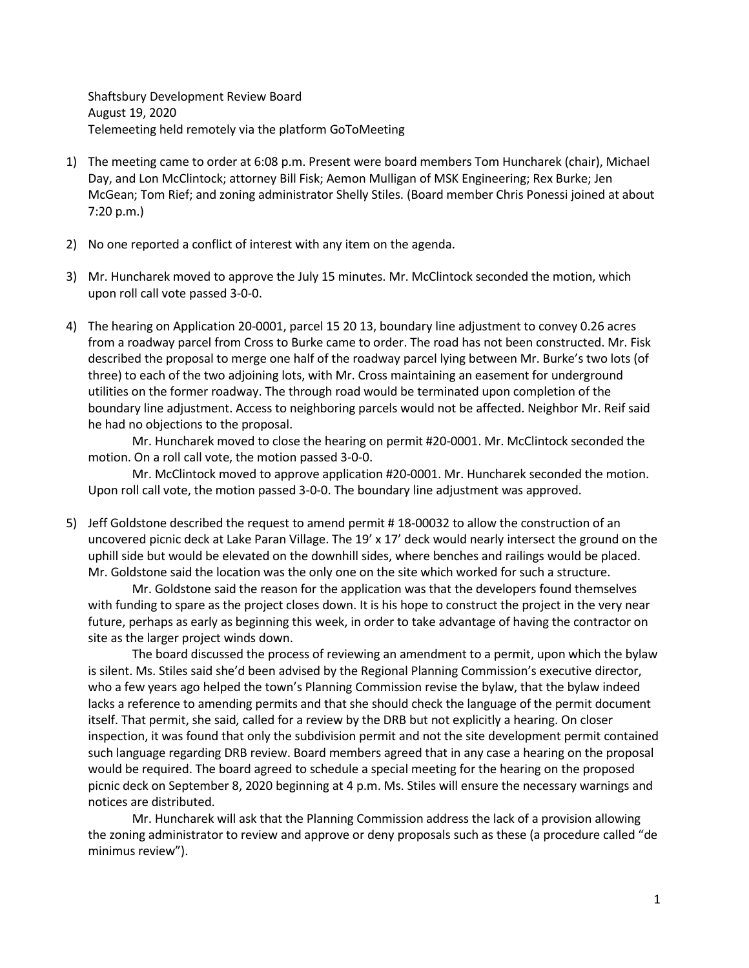Shaftsbury Development Review Board August 19, 2020 Telemeeting held remotely via the platform GoToMeeting

- 1) The meeting came to order at 6:08 p.m. Present were board members Tom Huncharek (chair), Michael Day, and Lon McClintock; attorney Bill Fisk; Aemon Mulligan of MSK Engineering; Rex Burke; Jen McGean; Tom Rief; and zoning administrator Shelly Stiles. (Board member Chris Ponessi joined at about 7:20 p.m.)
- 2) No one reported a conflict of interest with any item on the agenda.
- 3) Mr. Huncharek moved to approve the July 15 minutes. Mr. McClintock seconded the motion, which upon roll call vote passed 3-0-0.
- 4) The hearing on Application 20-0001, parcel 15 20 13, boundary line adjustment to convey 0.26 acres from a roadway parcel from Cross to Burke came to order. The road has not been constructed. Mr. Fisk described the proposal to merge one half of the roadway parcel lying between Mr. Burke's two lots (of three) to each of the two adjoining lots, with Mr. Cross maintaining an easement for underground utilities on the former roadway. The through road would be terminated upon completion of the boundary line adjustment. Access to neighboring parcels would not be affected. Neighbor Mr. Reif said he had no objections to the proposal.

Mr. Huncharek moved to close the hearing on permit #20-0001. Mr. McClintock seconded the motion. On a roll call vote, the motion passed 3-0-0.

Mr. McClintock moved to approve application #20-0001. Mr. Huncharek seconded the motion. Upon roll call vote, the motion passed 3-0-0. The boundary line adjustment was approved.

5) Jeff Goldstone described the request to amend permit # 18-00032 to allow the construction of an uncovered picnic deck at Lake Paran Village. The 19' x 17' deck would nearly intersect the ground on the uphill side but would be elevated on the downhill sides, where benches and railings would be placed. Mr. Goldstone said the location was the only one on the site which worked for such a structure.

Mr. Goldstone said the reason for the application was that the developers found themselves with funding to spare as the project closes down. It is his hope to construct the project in the very near future, perhaps as early as beginning this week, in order to take advantage of having the contractor on site as the larger project winds down.

The board discussed the process of reviewing an amendment to a permit, upon which the bylaw is silent. Ms. Stiles said she'd been advised by the Regional Planning Commission's executive director, who a few years ago helped the town's Planning Commission revise the bylaw, that the bylaw indeed lacks a reference to amending permits and that she should check the language of the permit document itself. That permit, she said, called for a review by the DRB but not explicitly a hearing. On closer inspection, it was found that only the subdivision permit and not the site development permit contained such language regarding DRB review. Board members agreed that in any case a hearing on the proposal would be required. The board agreed to schedule a special meeting for the hearing on the proposed picnic deck on September 8, 2020 beginning at 4 p.m. Ms. Stiles will ensure the necessary warnings and notices are distributed.

Mr. Huncharek will ask that the Planning Commission address the lack of a provision allowing the zoning administrator to review and approve or deny proposals such as these (a procedure called "de minimus review").